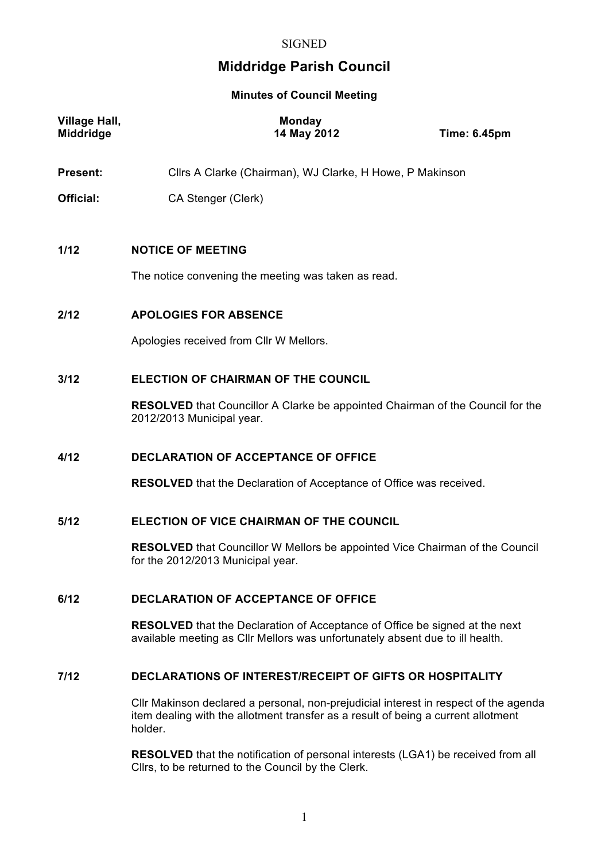#### **SIGNED**

# **Middridge Parish Council**

#### **Minutes of Council Meeting**

| <b>Village Hall,</b><br>Middridge | <b>Monday</b><br>14 May 2012                                                                                       | <b>Time: 6.45pm</b> |
|-----------------------------------|--------------------------------------------------------------------------------------------------------------------|---------------------|
| <b>Present:</b>                   | Cllrs A Clarke (Chairman), WJ Clarke, H Howe, P Makinson                                                           |                     |
| Official:                         | CA Stenger (Clerk)                                                                                                 |                     |
|                                   |                                                                                                                    |                     |
| 1/12                              | <b>NOTICE OF MEETING</b>                                                                                           |                     |
|                                   | The notice convening the meeting was taken as read.                                                                |                     |
| 2/12                              | <b>APOLOGIES FOR ABSENCE</b>                                                                                       |                     |
|                                   | Apologies received from CIIr W Mellors.                                                                            |                     |
| 3/12                              | <b>ELECTION OF CHAIRMAN OF THE COUNCIL</b>                                                                         |                     |
|                                   | <b>RESOLVED</b> that Councillor A Clarke be appointed Chairman of the Council for the<br>2012/2013 Municipal year. |                     |
|                                   |                                                                                                                    |                     |

#### **4/12 DECLARATION OF ACCEPTANCE OF OFFICE**

**RESOLVED** that the Declaration of Acceptance of Office was received.

## **5/12 ELECTION OF VICE CHAIRMAN OF THE COUNCIL**

**RESOLVED** that Councillor W Mellors be appointed Vice Chairman of the Council for the 2012/2013 Municipal year.

## **6/12 DECLARATION OF ACCEPTANCE OF OFFICE**

**RESOLVED** that the Declaration of Acceptance of Office be signed at the next available meeting as Cllr Mellors was unfortunately absent due to ill health.

#### **7/12 DECLARATIONS OF INTEREST/RECEIPT OF GIFTS OR HOSPITALITY**

Cllr Makinson declared a personal, non-prejudicial interest in respect of the agenda item dealing with the allotment transfer as a result of being a current allotment holder.

**RESOLVED** that the notification of personal interests (LGA1) be received from all Cllrs, to be returned to the Council by the Clerk.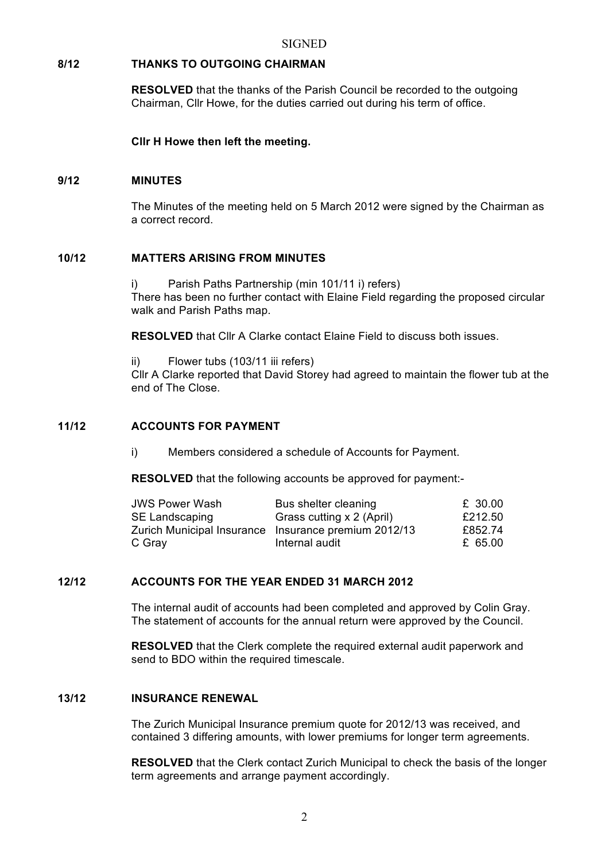## **8/12 THANKS TO OUTGOING CHAIRMAN**

**RESOLVED** that the thanks of the Parish Council be recorded to the outgoing Chairman, Cllr Howe, for the duties carried out during his term of office.

**Cllr H Howe then left the meeting.**

#### **9/12 MINUTES**

The Minutes of the meeting held on 5 March 2012 were signed by the Chairman as a correct record.

#### **10/12 MATTERS ARISING FROM MINUTES**

i) Parish Paths Partnership (min 101/11 i) refers) There has been no further contact with Elaine Field regarding the proposed circular walk and Parish Paths map.

**RESOLVED** that Cllr A Clarke contact Elaine Field to discuss both issues.

ii) Flower tubs (103/11 iii refers)

Cllr A Clarke reported that David Storey had agreed to maintain the flower tub at the end of The Close.

## **11/12 ACCOUNTS FOR PAYMENT**

i) Members considered a schedule of Accounts for Payment.

**RESOLVED** that the following accounts be approved for payment:-

| JWS Power Wash | Bus shelter cleaning                                 | £ 30.00 |
|----------------|------------------------------------------------------|---------|
| SE Landscaping | Grass cutting x 2 (April)                            | £212.50 |
|                | Zurich Municipal Insurance Insurance premium 2012/13 | £852.74 |
| C Gray         | Internal audit                                       | £ 65.00 |

## **12/12 ACCOUNTS FOR THE YEAR ENDED 31 MARCH 2012**

The internal audit of accounts had been completed and approved by Colin Gray. The statement of accounts for the annual return were approved by the Council.

**RESOLVED** that the Clerk complete the required external audit paperwork and send to BDO within the required timescale.

#### **13/12 INSURANCE RENEWAL**

The Zurich Municipal Insurance premium quote for 2012/13 was received, and contained 3 differing amounts, with lower premiums for longer term agreements.

**RESOLVED** that the Clerk contact Zurich Municipal to check the basis of the longer term agreements and arrange payment accordingly.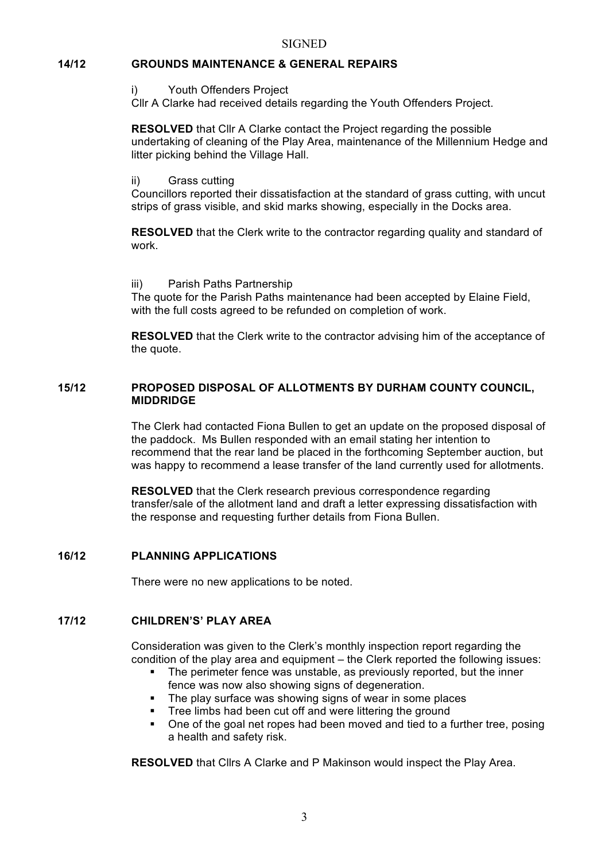#### **14/12 GROUNDS MAINTENANCE & GENERAL REPAIRS**

i) Youth Offenders Project

Cllr A Clarke had received details regarding the Youth Offenders Project.

**RESOLVED** that Cllr A Clarke contact the Project regarding the possible undertaking of cleaning of the Play Area, maintenance of the Millennium Hedge and litter picking behind the Village Hall.

#### ii) Grass cutting

Councillors reported their dissatisfaction at the standard of grass cutting, with uncut strips of grass visible, and skid marks showing, especially in the Docks area.

**RESOLVED** that the Clerk write to the contractor regarding quality and standard of work.

iii) Parish Paths Partnership

The quote for the Parish Paths maintenance had been accepted by Elaine Field, with the full costs agreed to be refunded on completion of work.

**RESOLVED** that the Clerk write to the contractor advising him of the acceptance of the quote.

#### **15/12 PROPOSED DISPOSAL OF ALLOTMENTS BY DURHAM COUNTY COUNCIL, MIDDRIDGE**

The Clerk had contacted Fiona Bullen to get an update on the proposed disposal of the paddock. Ms Bullen responded with an email stating her intention to recommend that the rear land be placed in the forthcoming September auction, but was happy to recommend a lease transfer of the land currently used for allotments.

**RESOLVED** that the Clerk research previous correspondence regarding transfer/sale of the allotment land and draft a letter expressing dissatisfaction with the response and requesting further details from Fiona Bullen.

#### **16/12 PLANNING APPLICATIONS**

There were no new applications to be noted.

#### **17/12 CHILDREN'S' PLAY AREA**

Consideration was given to the Clerk's monthly inspection report regarding the condition of the play area and equipment – the Clerk reported the following issues:

- The perimeter fence was unstable, as previously reported, but the inner fence was now also showing signs of degeneration.
- The play surface was showing signs of wear in some places
- Tree limbs had been cut off and were littering the ground
- One of the goal net ropes had been moved and tied to a further tree, posing a health and safety risk.

**RESOLVED** that Cllrs A Clarke and P Makinson would inspect the Play Area.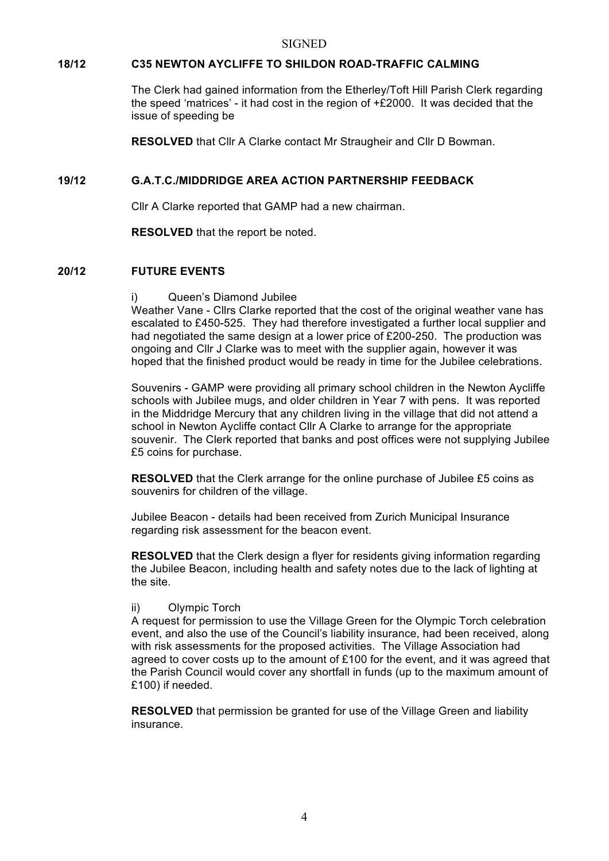#### **SIGNED**

## **18/12 C35 NEWTON AYCLIFFE TO SHILDON ROAD-TRAFFIC CALMING**

The Clerk had gained information from the Etherley/Toft Hill Parish Clerk regarding the speed 'matrices' - it had cost in the region of  $\pm$  2000. It was decided that the issue of speeding be

**RESOLVED** that Cllr A Clarke contact Mr Straugheir and Cllr D Bowman.

## **19/12 G.A.T.C./MIDDRIDGE AREA ACTION PARTNERSHIP FEEDBACK**

Cllr A Clarke reported that GAMP had a new chairman.

**RESOLVED** that the report be noted.

## **20/12 FUTURE EVENTS**

#### i) Queen's Diamond Jubilee

Weather Vane - Cllrs Clarke reported that the cost of the original weather vane has escalated to £450-525. They had therefore investigated a further local supplier and had negotiated the same design at a lower price of £200-250. The production was ongoing and Cllr J Clarke was to meet with the supplier again, however it was hoped that the finished product would be ready in time for the Jubilee celebrations.

Souvenirs - GAMP were providing all primary school children in the Newton Aycliffe schools with Jubilee mugs, and older children in Year 7 with pens. It was reported in the Middridge Mercury that any children living in the village that did not attend a school in Newton Aycliffe contact Cllr A Clarke to arrange for the appropriate souvenir. The Clerk reported that banks and post offices were not supplying Jubilee £5 coins for purchase.

**RESOLVED** that the Clerk arrange for the online purchase of Jubilee £5 coins as souvenirs for children of the village.

Jubilee Beacon - details had been received from Zurich Municipal Insurance regarding risk assessment for the beacon event.

**RESOLVED** that the Clerk design a flyer for residents giving information regarding the Jubilee Beacon, including health and safety notes due to the lack of lighting at the site.

#### ii) Olympic Torch

A request for permission to use the Village Green for the Olympic Torch celebration event, and also the use of the Council's liability insurance, had been received, along with risk assessments for the proposed activities. The Village Association had agreed to cover costs up to the amount of £100 for the event, and it was agreed that the Parish Council would cover any shortfall in funds (up to the maximum amount of £100) if needed.

**RESOLVED** that permission be granted for use of the Village Green and liability insurance.